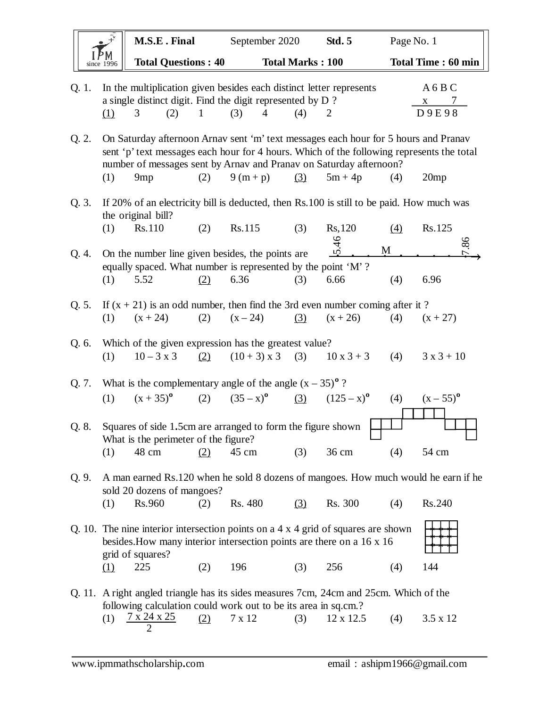|       | M.S.E. Final                                                                                                                                                                                                                                                                     |             | September 2020          |     | <b>Std. 5</b>             | Page No. 1 |                              |
|-------|----------------------------------------------------------------------------------------------------------------------------------------------------------------------------------------------------------------------------------------------------------------------------------|-------------|-------------------------|-----|---------------------------|------------|------------------------------|
|       | <b>Total Questions: 40</b><br>since 1996                                                                                                                                                                                                                                         |             | <b>Total Marks: 100</b> |     |                           |            | <b>Total Time: 60 min</b>    |
| Q. 1. | In the multiplication given besides each distinct letter represents<br>a single distinct digit. Find the digit represented by D?<br>(2)<br>(1)<br>3                                                                                                                              | 1<br>(3)    | $\overline{4}$          | (4) | 2                         |            | A6BC<br>$\mathbf X$<br>D9E98 |
| Q. 2. | On Saturday afternoon Arnav sent 'm' text messages each hour for 5 hours and Pranav<br>sent 'p' text messages each hour for 4 hours. Which of the following represents the total<br>number of messages sent by Arnav and Pranav on Saturday afternoon?<br>(1)<br>9 <sub>mp</sub> | (2)         | $9(m+p)$                | (3) | $5m + 4p$                 | (4)        | 20 <sub>mp</sub>             |
|       |                                                                                                                                                                                                                                                                                  |             |                         |     |                           |            |                              |
| Q. 3. | If 20% of an electricity bill is deducted, then Rs.100 is still to be paid. How much was<br>the original bill?                                                                                                                                                                   |             |                         |     |                           |            |                              |
|       | (1)<br>Rs.110                                                                                                                                                                                                                                                                    | (2)         | Rs.115                  | (3) | Rs, 120                   | (4)        | Rs.125                       |
| Q. 4. | On the number line given besides, the points are                                                                                                                                                                                                                                 |             |                         |     | $\overline{46}$<br>M<br>S |            | 86                           |
|       | equally spaced. What number is represented by the point 'M'?                                                                                                                                                                                                                     |             |                         |     |                           |            |                              |
|       | 5.52<br>(1)                                                                                                                                                                                                                                                                      | (2)<br>6.36 |                         | (3) | 6.66                      | (4)        | 6.96                         |
| Q. 5. | If $(x + 21)$ is an odd number, then find the 3rd even number coming after it?                                                                                                                                                                                                   |             |                         |     |                           |            |                              |
|       | (1)<br>$(x + 24)$                                                                                                                                                                                                                                                                | (2)         | $(x - 24)$              | (3) | $(x + 26)$                | (4)        | $(x + 27)$                   |
| Q. 6. | Which of the given expression has the greatest value?<br>$10 - 3 x 3$<br>(1)                                                                                                                                                                                                     | (2)         | $(10 + 3)$ x 3          | (3) | $10x3+3$                  | (4)        | $3x3 + 10$                   |
| Q. 7. | What is the complementary angle of the angle $(x - 35)^{o}$ ?                                                                                                                                                                                                                    |             |                         |     |                           |            |                              |
|       | $(x + 35)^{o}$ (2) $(35-x)^{o}$ (3) $(125-x)^{o}$<br>(1)                                                                                                                                                                                                                         |             |                         |     |                           | (4)        | $(x - 55)^{\circ}$           |
|       | Q. 8. Squares of side 1.5cm are arranged to form the figure shown<br>What is the perimeter of the figure?                                                                                                                                                                        |             |                         |     |                           |            |                              |
|       | 48 cm<br>(1)                                                                                                                                                                                                                                                                     | (2)         | $45 \text{ cm}$         | (3) | 36 cm                     | (4)        | 54 cm                        |
| Q. 9. | A man earned Rs.120 when he sold 8 dozens of mangoes. How much would he earn if he<br>sold 20 dozens of mangoes?                                                                                                                                                                 |             |                         |     |                           |            |                              |
|       | Rs.960<br>(1)                                                                                                                                                                                                                                                                    | (2)         | Rs. 480                 | (3) | Rs. 300                   | (4)        | Rs.240                       |
|       | Q. 10. The nine interior intersection points on a $4 \times 4$ grid of squares are shown<br>besides. How many interior intersection points are there on a 16 x 16<br>grid of squares?                                                                                            |             |                         |     |                           |            |                              |
|       | 225<br>(1)                                                                                                                                                                                                                                                                       | 196<br>(2)  |                         | (3) | 256                       | (4)        | 144                          |
|       | Q. 11. A right angled triangle has its sides measures 7cm, 24cm and 25cm. Which of the                                                                                                                                                                                           |             |                         |     |                           |            |                              |
|       | following calculation could work out to be its area in sq.cm.?<br>7 x 24 x 25<br>(1)<br>2                                                                                                                                                                                        | (2)         | 7 x 12                  | (3) | 12 x 12.5                 | (4)        | $3.5 \times 12$              |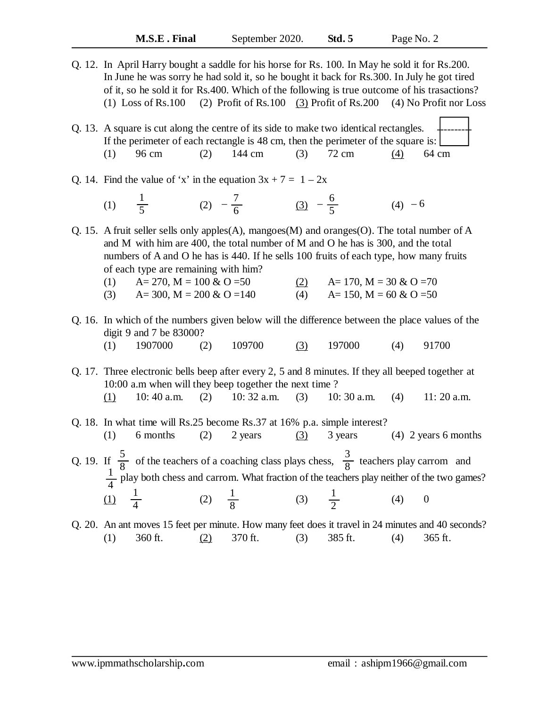Q. 12. In April Harry bought a saddle for his horse for Rs. 100. In May he sold it for Rs.200. In June he was sorry he had sold it, so he bought it back for Rs.300. In July he got tired of it, so he sold it for Rs.400. Which of the following is true outcome of his trasactions? (1) Loss of Rs.100 (2) Profit of Rs.100 (3) Profit of Rs.200 (4) No Profit nor Loss

Q. 13. A square is cut along the centre of its side to make two identical rectangles. If the perimeter of each rectangle is 48 cm, then the perimeter of the square is: (1) 96 cm (2) 144 cm (3) 72 cm (4) 64 cm ----------

## Q. 14. Find the value of 'x' in the equation  $3x + 7 = 1 - 2x$

(1)  $\frac{1}{5}$  (2)  $-\frac{1}{6}$  (3)  $-\frac{9}{5}$  (4) 1 5 7 6  $-\frac{7}{6}$  (3)  $-\frac{6}{6}$ 5  $(4) - 6$ 

Q. 15. A fruit seller sells only apples(A), mangoes(M) and oranges(O). The total number of A and M with him are 400, the total number of M and O he has is 300, and the total numbers of A and O he has is 440. If he sells 100 fruits of each type, how many fruits of each type are remaining with him?

- (1)  $A= 270$ ,  $M = 100 \& O = 50$   $(2)$   $A= 170$ ,  $M = 30 \& O = 70$
- (3)  $A = 300$ ,  $M = 200 \& O = 140$  (4)  $A = 150$ ,  $M = 60 \& O = 50$

## Q. 16. In which of the numbers given below will the difference between the place values of the digit 9 and 7 be 83000?

(1)  $1907000$  (2)  $109700$  (3)  $197000$  (4)  $91700$ 

Q. 17. Three electronic bells beep after every 2, 5 and 8 minutes. If they all beeped together at 10:00 a.m when will they beep together the next time ? (1) 10: 40 a.m. (2) 10:  $32$  a.m. (3) 10:  $30$  a.m. (4) 11:  $20$  a.m.

- Q. 18. In what time will Rs.25 become Rs.37 at 16% p.a. simple interest? (1) 6 months (2) 2 years (3) 3 years (4) 2 years 6 months Q. 19. If  $\frac{5}{8}$  of the teachers of a coaching class plays chess,  $\frac{3}{8}$  teachers play carrom and  $\frac{1}{4}$  play both chess and carrom. What fraction of the teachers play neither of the two games? (1)  $\frac{1}{4}$  (2)  $\frac{1}{8}$  (3)  $\frac{1}{2}$  (4) 0 8 3 8 4 1 4 8 1 2
- Q. 20. An ant moves 15 feet per minute. How many feet does it travel in 24 minutes and 40 seconds? (1) 360 ft.  $(2)$  370 ft.  $(3)$  385 ft.  $(4)$  365 ft.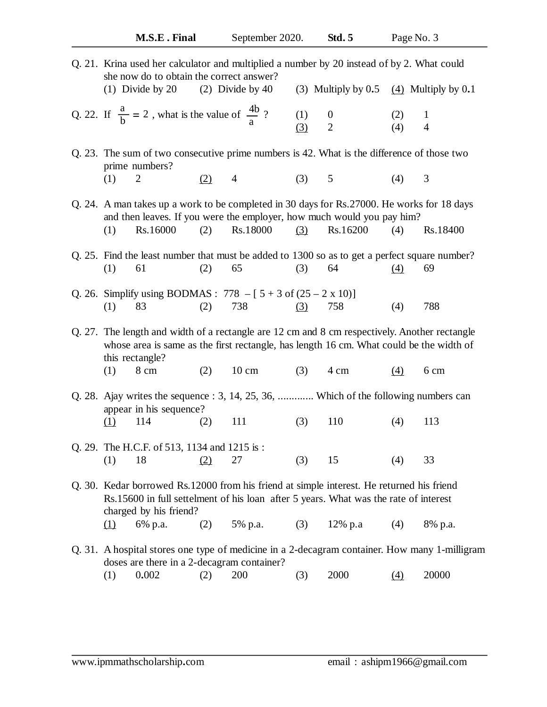| Q. 21. Krina used her calculator and multiplied a number by 20 instead of by 2. What could<br>she now do to obtain the correct answer?<br>$(1)$ Divide by 20<br>$(2)$ Divide by 40<br>(3) Multiply by $0.5$ (4) Multiply by $0.1$ |                        |            |                                    |            |                     |  |
|-----------------------------------------------------------------------------------------------------------------------------------------------------------------------------------------------------------------------------------|------------------------|------------|------------------------------------|------------|---------------------|--|
| Q. 22. If $\frac{a}{b} = 2$ , what is the value of $\frac{4b}{a}$ ?                                                                                                                                                               |                        | (1)<br>(3) | $\boldsymbol{0}$<br>$\overline{2}$ | (2)<br>(4) | 1<br>$\overline{4}$ |  |
| Q. 23. The sum of two consecutive prime numbers is 42. What is the difference of those two<br>prime numbers?<br>$\overline{2}$<br>(2)<br>(1)                                                                                      | $\overline{4}$         | (3) 5      |                                    | (4)        | 3                   |  |
| Q. 24. A man takes up a work to be completed in 30 days for Rs. 27000. He works for 18 days<br>and then leaves. If you were the employer, how much would you pay him?<br>Rs.16000<br>(1)<br>(2)                                   | Rs.18000               | (3)        | Rs.16200                           | (4)        | Rs.18400            |  |
| Q. 25. Find the least number that must be added to 1300 so as to get a perfect square number?<br>(1)<br>61<br>(2)                                                                                                                 | 65                     | (3)        | 64                                 | $\Delta$   | 69                  |  |
| Q. 26. Simplify using BODMAS : $778 - [5 + 3 \text{ of } (25 - 2 \text{ x } 10)]$<br>(2)<br>(1)<br>83                                                                                                                             | 738                    | (3)        | 758                                | (4)        | 788                 |  |
| Q. 27. The length and width of a rectangle are 12 cm and 8 cm respectively. Another rectangle<br>whose area is same as the first rectangle, has length 16 cm. What could be the width of<br>this rectangle?                       |                        |            |                                    |            |                     |  |
| (1)<br>8 cm                                                                                                                                                                                                                       | $10 \text{ cm}$<br>(2) | (3)        | 4 cm                               | (4)        | 6 cm                |  |
| Q. 28. Ajay writes the sequence : 3, 14, 25, 36,  Which of the following numbers can<br>appear in his sequence?                                                                                                                   |                        |            |                                    |            |                     |  |
| 114<br>(2)<br><u>(1)</u>                                                                                                                                                                                                          | 111                    | (3)        | 110                                | (4)        | 113                 |  |
| Q. 29. The H.C.F. of 513, 1134 and 1215 is:<br>18<br>(1)<br>(2)                                                                                                                                                                   | 27                     | (3)        | 15                                 | (4)        | 33                  |  |
| Q. 30. Kedar borrowed Rs.12000 from his friend at simple interest. He returned his friend<br>Rs.15600 in full settelment of his loan after 5 years. What was the rate of interest<br>charged by his friend?                       |                        |            |                                    |            |                     |  |
| 6% p.a.<br>(2)<br>$\Omega$                                                                                                                                                                                                        | 5% p.a.                | (3)        | 12% p.a                            | (4)        | 8% p.a.             |  |
| Q. 31. A hospital stores one type of medicine in a 2-decagram container. How many 1-milligram<br>doses are there in a 2-decagram container?                                                                                       |                        |            |                                    |            |                     |  |

(1) 0**.**002 (2) 200 (3) 2000 (4) 20000